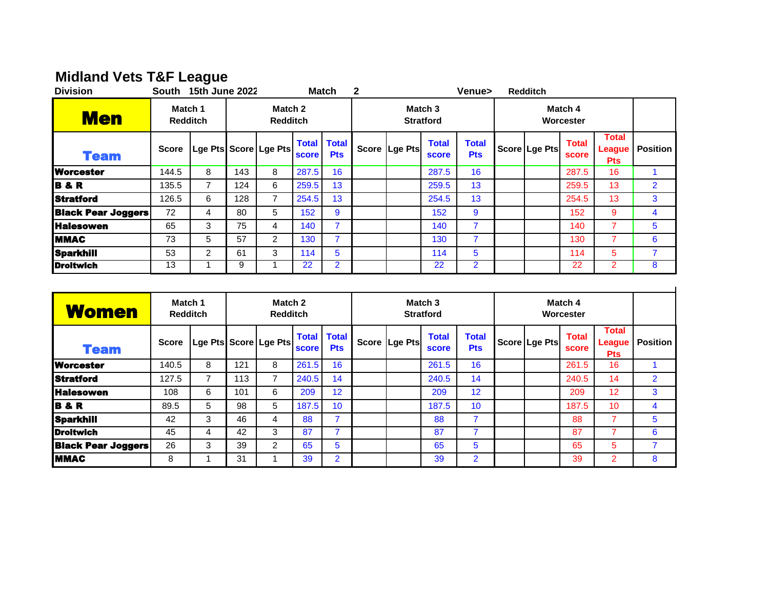# **Midland Vets T&F League**

| <b>Division</b>           | South        | 15th June 2022                                           |     |                       |              | <b>Match</b>                     | $\mathbf 2$                            |               |                              | Venue>                     |                      | <b>Redditch</b> |                       |                                      |                 |
|---------------------------|--------------|----------------------------------------------------------|-----|-----------------------|--------------|----------------------------------|----------------------------------------|---------------|------------------------------|----------------------------|----------------------|-----------------|-----------------------|--------------------------------------|-----------------|
| <b>Men</b>                |              | Match 2<br>Match 1<br><b>Redditch</b><br><b>Redditch</b> |     |                       |              |                                  | Match <sub>3</sub><br><b>Stratford</b> |               |                              |                            | Match 4<br>Worcester |                 |                       |                                      |                 |
| <b>Team</b>               | <b>Score</b> |                                                          |     | Lge Pts Score Lge Pts | <b>score</b> | <b>Total Total</b><br><b>Pts</b> |                                        | Score Lge Pts | <b>Total</b><br><b>score</b> | <b>Total</b><br><b>Pts</b> |                      | Score Lge Pts   | <b>Total</b><br>score | <b>Total</b><br>League<br><b>Pts</b> | <b>Position</b> |
| <b>Worcester</b>          | 144.5        | 8                                                        | 143 | 8                     | 287.5        | 16                               |                                        |               | 287.5                        | 16                         |                      |                 | 287.5                 | 16                                   |                 |
| <b>B&amp;R</b>            | 135.5        |                                                          | 124 | 6                     | 259.5        | 13                               |                                        |               | 259.5                        | 13                         |                      |                 | 259.5                 | 13                                   | $\overline{2}$  |
| <b>Stratford</b>          | 126.5        | 6                                                        | 128 | $\overline{7}$        | 254.5        | 13                               |                                        |               | 254.5                        | 13                         |                      |                 | 254.5                 | 13                                   | 3               |
| <b>Black Pear Joggers</b> | 72           | 4                                                        | 80  | 5                     | 152          | 9                                |                                        |               | 152                          | 9                          |                      |                 | 152                   | 9                                    | 4               |
| <b>Halesowen</b>          | 65           | 3                                                        | 75  | 4                     | 140          | 7                                |                                        |               | 140                          |                            |                      |                 | 140                   |                                      | 5               |
| <b>IMMAC</b>              | 73           | 5                                                        | 57  | 2                     | 130          | 7                                |                                        |               | 130                          |                            |                      |                 | 130                   | 7                                    | 6               |
| <b>Sparkhill</b>          | 53           | $\overline{2}$                                           | 61  | 3                     | 114          | 5                                |                                        |               | 114                          | 5                          |                      |                 | 114                   | 5                                    | 7               |
| <b>IDroitwich</b>         | 13           |                                                          | 9   |                       | 22           | $\overline{2}$                   |                                        |               | 22                           | $\overline{2}$             |                      |                 | 22                    |                                      | 8               |

| <b>Women</b>              | Match 1<br><b>Redditch</b> |   |     | Match 2<br><b>Redditch</b> |                              |                            |               | Match 3<br><b>Stratford</b>  |                            | Match 4<br>Worcester |               |                       |                                      |                |
|---------------------------|----------------------------|---|-----|----------------------------|------------------------------|----------------------------|---------------|------------------------------|----------------------------|----------------------|---------------|-----------------------|--------------------------------------|----------------|
| <b>Team</b>               | <b>Score</b>               |   |     | Lge Pts Score Lge Pts      | <b>Total</b><br><b>score</b> | <b>Total</b><br><b>Pts</b> | Score Lge Pts | <b>Total</b><br><b>score</b> | <b>Total</b><br><b>Pts</b> |                      | Score Lge Pts | <b>Total</b><br>score | <b>Total</b><br>League<br><b>Pts</b> | Position       |
| <b>Worcester</b>          | 140.5                      | 8 | 121 | 8                          | 261.5                        | 16                         |               | 261.5                        | 16                         |                      |               | 261.5                 | 16                                   |                |
| <b>Stratford</b>          | 127.5                      | 7 | 113 | 7                          | 240.5                        | 14                         |               | 240.5                        | 14                         |                      |               | 240.5                 | 14                                   | $\overline{2}$ |
| <b>Halesowen</b>          | 108                        | 6 | 101 | 6                          | 209                          | 12                         |               | 209                          | 12                         |                      |               | 209                   | 12                                   | 3              |
| <b>B&amp;R</b>            | 89.5                       | 5 | 98  | 5                          | 187.5                        | 10                         |               | 187.5                        | 10                         |                      |               | 187.5                 | 10 <sup>°</sup>                      | $\overline{4}$ |
| <b>Sparkhill</b>          | 42                         | 3 | 46  | 4                          | 88                           | 7                          |               | 88                           | ⇁                          |                      |               | 88                    |                                      | 5              |
| <b>Droitwich</b>          | 45                         | 4 | 42  | 3                          | 87                           |                            |               | 87                           |                            |                      |               | 87                    |                                      | 6              |
| <b>Black Pear Joggers</b> | 26                         | 3 | 39  | 2                          | 65                           | 5                          |               | 65                           | 5                          |                      |               | 65                    | 5                                    | 7              |
| <b>IMMAC</b>              | 8                          |   | 31  |                            | 39                           | $\overline{2}$             |               | 39                           | $\overline{2}$             |                      |               | 39                    | 2                                    | 8              |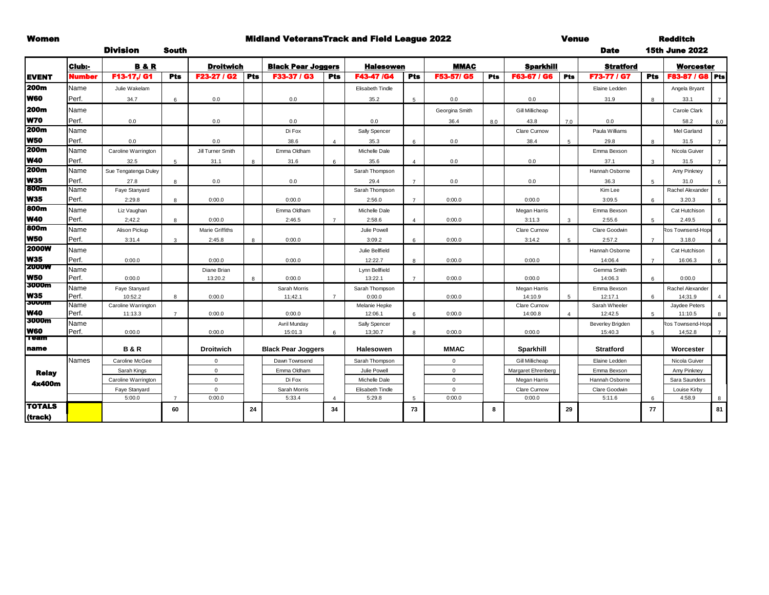### Women **Widland VeteransTrack and Field League 2022** Venue

Division South Date

Redditch 15th June 2022

|                            | Club:-        | <b>B&amp;R</b>       |                | <b>Droitwich</b>  |            | <b>Black Pear Joggers</b> |                       | <b>Halesowen</b>         |                | <b>MMAC</b>    |            | <b>Sparkhill</b>       |                | <b>Stratford</b>            |                | <b>Worcester</b>             |                |
|----------------------------|---------------|----------------------|----------------|-------------------|------------|---------------------------|-----------------------|--------------------------|----------------|----------------|------------|------------------------|----------------|-----------------------------|----------------|------------------------------|----------------|
| <b>EVENT</b>               | Number        | F13-17,/ G1          | <b>Pts</b>     | F23-27 / G2       | <b>Pts</b> | F33-37 / G3               | <b>Pts</b>            | F43-47 /G4               | <b>Pts</b>     | F53-57/ G5     | <b>Pts</b> | F63-67 / G6            | Pts            | F73-77 / G7                 | Pts            | F83-87 / G8 Pts              |                |
| 200m                       | Name          | Julie Wakelam        |                |                   |            |                           |                       | <b>Elisabeth Tindle</b>  |                |                |            |                        |                | Elaine Ledden               |                | Angela Bryant                |                |
| <b>W60</b>                 | Perf.         | 34.7                 | 6              | 0.0               |            | 0.0                       |                       | 35.2                     | 5              | 0.0            |            | 0.0                    |                | 31.9                        | 8              | 33.1                         |                |
| 200m                       | Name          |                      |                |                   |            |                           |                       |                          |                | Georgina Smith |            | <b>Gill Millicheap</b> |                |                             |                | Carole Clark                 |                |
| W70                        | Perf.         | 0.0                  |                | 0.0               |            | 0.0                       |                       | 0.0                      |                | 36.4           | 8.0        | 43.8                   | 7.0            | 0.0                         |                | 58.2                         | 6.0            |
| 200m                       | Name          |                      |                |                   |            | Di Fox                    |                       | Sally Spencer            |                |                |            | Clare Curnow           |                | Paula Williams              |                | Mel Garland                  |                |
| <b>W50</b>                 | Perf.         | 0.0                  |                | 0.0               |            | 38.6                      | $\boldsymbol{\Delta}$ | 35.3                     | 6              | 0.0            |            | 38.4                   | 5              | 29.8                        |                | 31.5                         | $\overline{7}$ |
| 200m                       | Name          | Caroline Warrington  |                | Jill Turner Smith |            | Emma Oldham               |                       | Michelle Dale            |                |                |            |                        |                | Emma Bexson                 |                | Nicola Guiver                |                |
| <b>W40</b>                 | Perf.         | 32.5                 | 5              | 31.1              | 8          | 31.6                      | 6                     | 35.6                     | $\overline{4}$ | 0.0            |            | 0.0                    |                | 37.1                        | 3              | 31.5                         | $\overline{7}$ |
| 200 <sub>m</sub>           | Name          | Sue Tengatenga Duley |                |                   |            |                           |                       | Sarah Thompson           |                |                |            |                        |                | Hannah Osborne              |                | Amy Pinkney                  |                |
| <b>W35</b>                 | Perf.         | 27.8                 | 8              | 0.0               |            | 0.0                       |                       | 29.4                     | $\overline{7}$ | 0.0            |            | 0.0                    |                | 36.3                        | $\overline{5}$ | 31.0                         |                |
| 800m                       | Name          | Faye Stanyard        |                |                   |            |                           |                       | Sarah Thompson           |                |                |            |                        |                | Kim Lee                     |                | Rachel Alexander             |                |
| <b>W35</b>                 | Perf.         | 2:29.8               | 8              | 0:00.0            |            | 0:00.0                    |                       | 2:56.0                   | $\overline{7}$ | 0:00.0         |            | 0:00.0                 |                | 3:09.5                      | 6              | 3.20.3                       |                |
| 800m                       | Name          | Liz Vaughan          |                |                   |            | Emma Oldham               |                       | Michelle Dale            |                |                |            | Megan Harris           |                | Emma Bexson                 |                | Cat Hutchison                |                |
| <b>W40</b>                 | Perf.         | 2;42.2               | 8              | 0:00.0            |            | 2:46.5                    |                       | 2:58.6                   | $\overline{4}$ | 0:00.0         |            | 3:11.3                 | 3              | 2:55.6                      | -5             | 2.49.5                       |                |
| 800m                       | Name          | Alison Pickup        |                | Marie Griffiths   |            |                           |                       | Julie Powell             |                |                |            | Clare Curnow           |                | Clare Goodwin               |                | Ros Townsend-Hope            |                |
| <b>W50</b>                 | Perf.         | 3:31.4               | 3              | 2:45.8            | 8          | 0:00.0                    |                       | 3:09.2                   | 6              | 0:00.0         |            | 3:14.2                 | $\overline{5}$ | 2:57.2                      | $\overline{7}$ | 3.18.0                       |                |
| <b>2000W</b>               | Name          |                      |                |                   |            |                           |                       | Julie Bellfield          |                |                |            |                        |                | Hannah Osborne              |                | Cat Hutchison                |                |
| <b>W35</b>                 | Perf.         | 0:00.0               |                | 0:00.0            |            | 0:00.0                    |                       | 12:22.7                  | 8              | 0:00.0         |            | 0:00.0                 |                | 14:06.4                     | $\overline{7}$ | 16:06.3                      | 6              |
| <b>2000W</b>               | Name          |                      |                | Diane Brian       |            |                           |                       | Lynn Bellfield           |                |                |            |                        |                | Gemma Smith                 |                |                              |                |
| <b>W50</b>                 | Perf.         | 0:00.0               |                | 13:20.2           | 8          | 0:00.0                    |                       | 13:22.1                  | $\overline{7}$ | 0:00.0         |            | 0:00.0                 |                | 14:06.3                     | 6              | 0:00.0                       |                |
| 3000m                      | Name          | Faye Stanyard        |                |                   |            | Sarah Morris              |                       | Sarah Thompson           |                |                |            | Megan Harris           |                | Emma Bexson                 |                | Rachel Alexander             |                |
| <b>W35</b><br><b>JUUUM</b> | Perf.         | 10:52.2              | 8              | 0:00.0            |            | 11;42.1                   | $\overline{7}$        | 0:00.0                   |                | 0:00.0         |            | 14:10.9                | 5              | 12:17.1                     | 6              | 14;31.9                      |                |
| <b>W40</b>                 | Name          | Caroline Warrington  |                |                   |            |                           |                       | Melanie Hepke            |                |                |            | Clare Curnow           |                | Sarah Wheeler               |                | Jaydee Peters                |                |
| <b>3000m</b>               | Perf.         | 11:13.3              | $\overline{7}$ | 0:00.0            |            | 0:00.0                    |                       | 12:06.1                  | 6              | 0:00.0         |            | 14:00.8                | $\overline{a}$ | 12:42.5                     | -5             | 11:10.5                      |                |
| W60                        | Name<br>Perf. | 0:00.0               |                | 0:00.0            |            | Avril Munday<br>15:01.3   | 6                     | Sally Spencer<br>13:30.7 | 8              | 0:00.0         |            | 0:00.0                 |                | Beverley Brigden<br>15:40.3 | $5^{\circ}$    | Ros Townsend-Hope<br>14:52.8 |                |
| 1 eann                     |               |                      |                |                   |            |                           |                       |                          |                |                |            |                        |                |                             |                |                              |                |
| name                       |               | <b>B&amp;R</b>       |                | <b>Droitwich</b>  |            | <b>Black Pear Joggers</b> |                       | <b>Halesowen</b>         |                | <b>MMAC</b>    |            | Sparkhill              |                | <b>Stratford</b>            |                | Worcester                    |                |
|                            | <b>Names</b>  | Caroline McGee       |                | $\mathbf 0$       |            | Dawn Townsend             |                       | Sarah Thompson           |                | $\mathbf 0$    |            | Gill Millicheap        |                | Elaine Ledden               |                | Nicola Guiver                |                |
| <b>Relay</b>               |               | Sarah Kings          |                | $\mathbf{0}$      |            | Emma Oldham               |                       | Julie Powell             |                | $\mathbf{0}$   |            | Margaret Ehrenberg     |                | Emma Bexson                 |                | Amy Pinkney                  |                |
| 4x400m                     |               | Caroline Warrington  |                | $\mathbf{0}$      |            | Di Fox                    |                       | Michelle Dale            |                | $\Omega$       |            | Megan Harris           |                | Hannah Osborne              |                | Sara Saunders                |                |
|                            |               | Faye Stanyard        |                | $\mathbf 0$       |            | Sarah Morris              |                       | Elisabeth Tindle         |                | $\mathbf{0}$   |            | Clare Curnow           |                | Clare Goodwin               |                | Louise Kirby                 |                |
|                            |               | 5:00.0               | $\overline{7}$ | 0:00.0            |            | 5:33.4                    |                       | 5:29.8                   | 5              | 0:00.0         |            | 0:00.0                 |                | 5:11.6                      | 6              | 4:58.9                       |                |
| <b>TOTALS</b>              |               |                      | 60             |                   | 24         |                           | 34                    |                          | 73             |                | 8          |                        | 29             |                             | 77             |                              | 81             |
| (track)                    |               |                      |                |                   |            |                           |                       |                          |                |                |            |                        |                |                             |                |                              |                |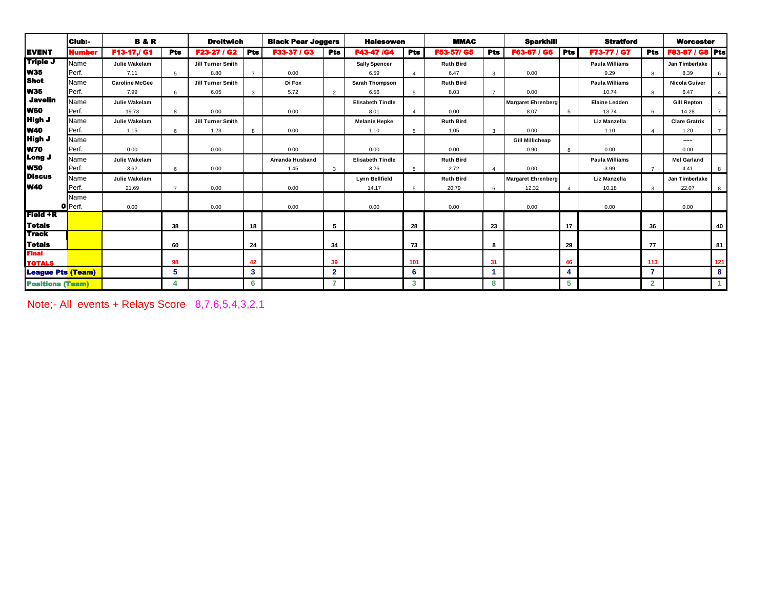|                                       | Club:-        | <b>B&amp;R</b>        |                | <b>Droitwich</b>         |                | <b>Black Pear Joggers</b> |                | <b>Halesowen</b>        |                        | <b>MMAC</b>      |                | <b>Sparkhill</b>          |                 | <b>Stratford</b>      |                | <b>Worcester</b>       |                |
|---------------------------------------|---------------|-----------------------|----------------|--------------------------|----------------|---------------------------|----------------|-------------------------|------------------------|------------------|----------------|---------------------------|-----------------|-----------------------|----------------|------------------------|----------------|
| <b>EVENT</b>                          | <b>Number</b> | F13-17./ G1           | <b>Pts</b>     | <b>F23-27 / G2</b>       | <b>Pts</b>     | F33-37 / G3               | <b>Pts</b>     | F43-47 /G4              | <b>Pts</b>             | F53-57/ G5       | <b>Pts</b>     | F63-67 / G6               | <b>Pts</b>      | <b>F73-77 / G7</b>    | <b>Pts</b>     | <b>F83-87 / G8 Pts</b> |                |
| Triple J                              | Name          | Julie Wakelam         |                | <b>Jill Turner Smith</b> |                |                           |                | <b>Sally Spencer</b>    |                        | <b>Ruth Bird</b> |                |                           |                 | <b>Paula Williams</b> |                | Jan Timberlake         |                |
| <b>W35</b>                            | Perf.         | 7.11                  | 5              | 8.80                     | $\overline{7}$ | 0.00                      |                | 6.59                    | $\boldsymbol{\Lambda}$ | 6.47             | 3              | 0.00                      |                 | 9.29                  |                | 8.39                   | 6              |
| <b>Shot</b>                           | Name          | <b>Caroline McGee</b> |                | Jill Turner Smith        |                | Di Fox                    |                | Sarah Thompson          |                        | <b>Ruth Bird</b> |                |                           |                 | <b>Paula Williams</b> |                | Nicola Guiver          |                |
| <b>W35</b>                            | Perf.         | 7.99                  | 6              | 6.05                     | 3              | 5.72                      | 2              | 6.56                    | 5                      | 8.03             | $\overline{7}$ | 0.00                      |                 | 10.74                 | 8              | 6.47                   | $\overline{4}$ |
| <b>Javelin</b>                        | Name          | Julie Wakelam         |                |                          |                |                           |                | <b>Elisabeth Tindle</b> |                        |                  |                | <b>Margaret Ehrenberg</b> |                 | <b>Elaine Ledden</b>  |                | <b>Gill Repton</b>     |                |
| W60                                   | Perf.         | 19.73                 | 8              | 0.00                     |                | 0.00                      |                | 8.01                    | $\overline{a}$         | 0.00             |                | 8.07                      | $5\overline{5}$ | 13.74                 |                | 14.28                  | $\overline{7}$ |
| High J                                | Name          | Julie Wakelam         |                | <b>Jill Turner Smith</b> |                |                           |                | <b>Melanie Hepke</b>    |                        | <b>Ruth Bird</b> |                |                           |                 | Liz Manzella          |                | <b>Clare Gratrix</b>   |                |
| <b>W40</b>                            | Perf.         | 1.15                  | 6              | 1.23                     | 8              | 0.00                      |                | 1.10                    | 5                      | 1.05             | $\mathbf{3}$   | 0.00                      |                 | 1.10                  |                | 1.20                   | $\overline{7}$ |
| <b>High J</b>                         | Name          |                       |                |                          |                |                           |                |                         |                        |                  |                | <b>Gill Millicheap</b>    |                 |                       |                | $\sim\sim\sim$         |                |
| <b>W70</b>                            | Perf.         | 0.00                  |                | 0.00                     |                | 0.00                      |                | 0.00                    |                        | 0.00             |                | 0.90                      | 8               | 0.00                  |                | 0.00                   |                |
| Long J                                | Name          | Julie Wakelam         |                |                          |                | Amanda Husband            |                | <b>Elisabeth Tindle</b> |                        | <b>Ruth Bird</b> |                |                           |                 | <b>Paula Williams</b> |                | <b>Mel Garland</b>     |                |
| <b>W50</b>                            | Perf.         | 3.62                  | 6              | 0.00                     |                | 1.45                      | $\mathbf{3}$   | 3.26                    | 5                      | 2.72             |                | 0.00                      |                 | 3.99                  |                | 4.41                   | 8              |
| <b>Discus</b>                         | Name          | Julie Wakelam         |                |                          |                |                           |                | Lynn Bellfield          |                        | <b>Ruth Bird</b> |                | <b>Margaret Ehrenberg</b> |                 | Liz Manzella          |                | Jan Timberlake         |                |
| <b>W40</b>                            | Perf.         | 21.69                 | $\overline{7}$ | 0.00                     |                | 0.00                      |                | 14.17                   | 5                      | 20.79            | 6              | 12.32                     |                 | 10.18                 | 3              | 22.07                  | 8              |
|                                       | Name          |                       |                |                          |                |                           |                |                         |                        |                  |                |                           |                 |                       |                |                        |                |
|                                       | O Perf.       | 0.00                  |                | 0.00                     |                | 0.00                      |                | 0.00                    |                        | 0.00             |                | 0.00                      |                 | 0.00                  |                | 0.00                   |                |
| Field +R                              |               |                       |                |                          |                |                           |                |                         |                        |                  |                |                           |                 |                       |                |                        |                |
| Totals                                |               |                       | 38             |                          | 18             |                           | 5              |                         | 28                     |                  | 23             |                           | 17              |                       | 36             |                        | 40             |
| <b>Track</b>                          |               |                       |                |                          |                |                           |                |                         |                        |                  |                |                           |                 |                       |                |                        |                |
| Totais                                |               |                       | 60             |                          | 24             |                           | 34             |                         | 73                     |                  | 8              |                           | 29              |                       | 77             |                        | 81             |
| Final                                 |               |                       |                |                          |                |                           |                |                         |                        |                  |                |                           |                 |                       |                |                        |                |
| <b>TOTALS</b>                         |               |                       | 98             |                          | 42             |                           | 39             |                         | 101                    |                  | 31             |                           | 46              |                       | 113            |                        | 121            |
| <b>League Pts <mark>(Team)</mark></b> |               |                       | 5              |                          | $\mathbf{3}$   |                           | $\overline{2}$ |                         | 6                      |                  |                |                           |                 |                       | 7              |                        | 8              |
| <b>Positions (Team)</b>               |               |                       |                |                          | 6              |                           | $\overline{z}$ |                         | 3                      |                  | 8              |                           | 5               |                       | $\overline{2}$ |                        |                |

Note;- All events + Relays Score 8,7,6,5,4,3,2,1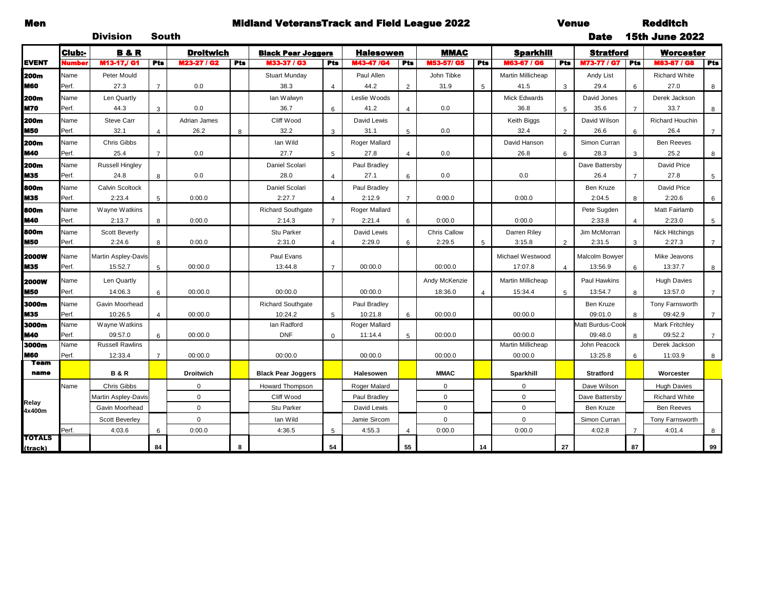## Men Midland VeteransTrack and Field League 2022 Venue

Redditch 15th June 2022

|                            |               | <b>Division</b>            | South          |                  |     |                           |                         |                          |                |                   |                 |                          |                 | <b>Date</b>                 |                | <b>15th June 2022</b>      |                 |
|----------------------------|---------------|----------------------------|----------------|------------------|-----|---------------------------|-------------------------|--------------------------|----------------|-------------------|-----------------|--------------------------|-----------------|-----------------------------|----------------|----------------------------|-----------------|
|                            | <b>Club:-</b> | <b>B&amp;R</b>             |                | <b>Droitwich</b> |     | <b>Black Pear Joggers</b> |                         | <b>Halesowen</b>         |                | <b>MMAC</b>       |                 | <b>Sparkhill</b>         |                 | <b>Stratford</b>            |                | Worcester                  |                 |
| <b>EVENT</b>               | Numbe         | M13-17J G1                 | Pts            | M23-27 / G2      | Pts | M33-37 / G3               | <b>Pts</b>              | M43-47 /G4               | Pts            | <b>M53-57/ G5</b> | <b>Pts</b>      | M63-67 / G6              | <b>Pts</b>      | <b>M73-77 / G7</b>          | Pts            | <b>M83-87 / G8</b>         | <b>Pts</b>      |
| <b>200m</b>                | Name          | Peter Mould                |                |                  |     | Stuart Munday             |                         | Paul Allen               |                | John Tibke        |                 | Martin Millicheap        |                 | Andy List                   |                | <b>Richard White</b>       |                 |
| <b>M60</b>                 | Perf.         | 27.3                       | $\overline{7}$ | 0.0              |     | 38.3                      | $\overline{\mathbf{A}}$ | 44.2                     | $\mathfrak{p}$ | 31.9              | 5               | 41.5                     | 3               | 29.4                        | 6              | 27.0                       | 8               |
| <b>200m</b>                | Name          | Len Quartly                |                |                  |     | lan Walwyn                |                         | Leslie Woods             |                |                   |                 | Mick Edwards             |                 | David Jones                 |                | Derek Jackson              |                 |
| <b>M70</b>                 | Perf.         | 44.3                       | 3              | 0.0              |     | 36.7                      | 6                       | 41.2                     | $\overline{4}$ | 0.0               |                 | 36.8                     | 5               | 35.6                        | $\overline{7}$ | 33.7                       | 8               |
| <b>200m</b>                | Name          | <b>Steve Carr</b>          |                | Adrian James     |     | Cliff Wood                |                         | David Lewis              |                |                   |                 | Keith Biggs              |                 | David Wilson                |                | <b>Richard Houchin</b>     |                 |
| <b>M50</b>                 | Perf.         | 32.1                       | $\overline{4}$ | 26.2             | 8   | 32.2                      | 3                       | 31.1                     | 5              | 0.0               |                 | 32.4                     | $\overline{2}$  | 26.6                        | 6              | 26.4                       | $\overline{7}$  |
| <b>200m</b>                | Name          | Chris Gibbs                |                |                  |     | lan Wild                  |                         | Roger Mallard            |                |                   |                 | David Hanson             |                 | Simon Curran                |                | <b>Ben Reeves</b>          |                 |
| <b>M40</b>                 | Perf.         | 25.4                       | $\overline{7}$ | 0.0              |     | 27.7                      | 5                       | 27.8                     | $\overline{4}$ | 0.0               |                 | 26.8                     | 6               | 28.3                        | 3              | 25.2                       | 8               |
| <b>200m</b>                | Name          | <b>Russell Hingley</b>     |                |                  |     | Daniel Scolari            |                         | Paul Bradley             |                |                   |                 |                          |                 | Dave Battersby              |                | David Price                |                 |
| <b>M35</b>                 | Perf.         | 24.8                       | 8              | 0.0              |     | 28.0                      | $\overline{4}$          | 27.1                     | 6              | 0.0               |                 | 0.0                      |                 | 26.4                        | $\overline{7}$ | 27.8                       | 5               |
| 800m                       | Name          | Calvin Scoltock            |                |                  |     | Daniel Scolari            |                         | Paul Bradley             |                |                   |                 |                          |                 | Ben Kruze                   |                | David Price                |                 |
| M35                        | Perf.         | 2:23.4                     | 5              | 0:00.0           |     | 2:27.7                    | $\overline{4}$          | 2:12.9                   | $\overline{7}$ | 0:00.0            |                 | 0:00.0                   |                 | 2:04.5                      | 8              | 2:20.6                     | 6               |
| 800m                       | Name          | Wayne Watkins              |                |                  |     | <b>Richard Southgate</b>  |                         | Roger Mallard            |                |                   |                 |                          |                 | Pete Sugden                 |                | Matt Fairlamb              |                 |
| <b>M40</b>                 | Perf.         | 2:13.7                     | 8              | 0:00.0           |     | 2:14.3                    | $\overline{7}$          | 2:21.4                   | 6              | 0:00.0            |                 | 0:00.0                   |                 | 2:33.8                      | $\overline{4}$ | 2:23.0                     | $5\phantom{.0}$ |
| 800m                       | Name          | Scott Beverly              |                |                  |     | Stu Parker                |                         | David Lewis              |                | Chris Callow      |                 | Darren Riley             |                 | Jim McMorran                |                | <b>Nick Hitchings</b>      |                 |
| <b>M50</b>                 | Perf.         | 2:24.6                     | 8              | 0:00.0           |     | 2:31.0                    | $\overline{4}$          | 2:29.0                   | 6              | 2:29.5            | $5\overline{5}$ | 3:15.8                   | $\overline{2}$  | 2:31.5                      | $\mathbf{3}$   | 2:27.3                     | $\overline{7}$  |
| <b>2000W</b>               | Name          | <b>Martin Aspley-Davis</b> |                |                  |     | Paul Evans                |                         |                          |                |                   |                 | Michael Westwood         |                 | Malcolm Bowyer              |                | Mike Jeavons               |                 |
| <b>M35</b>                 | Perf.         | 15:52.7                    | 5              | 00:00.0          |     | 13:44.8                   | $\overline{7}$          | 00:00.0                  |                | 00:00.0           |                 | 17:07.8                  | $\overline{4}$  | 13:56.9                     | 6              | 13:37.7                    | 8               |
|                            | Name          | Len Quartly                |                |                  |     |                           |                         |                          |                | Andy McKenzie     |                 | <b>Martin Millicheap</b> |                 | <b>Paul Hawkins</b>         |                | <b>Hugh Davies</b>         |                 |
| <b>2000W</b><br><b>M50</b> |               |                            |                |                  |     |                           |                         |                          |                |                   |                 |                          |                 |                             |                |                            |                 |
|                            | Perf.         | 14:06.3                    | 6              | 00:00.0          |     | 00:00.0                   |                         | 00:00.0                  |                | 18:36.0           | $\overline{4}$  | 15:34.4                  | $5\overline{5}$ | 13:54.7                     | 8              | 13:57.0                    | $\overline{7}$  |
| 3000m<br><b>M35</b>        | Name<br>Perf. | Gavin Moorhead             |                |                  |     | <b>Richard Southgate</b>  |                         | Paul Bradley             |                | 00:00.0           |                 |                          |                 | <b>Ben Kruze</b>            |                | Tony Farnsworth<br>09:42.9 |                 |
| 3000m                      | Name          | 10:26.5<br>Wayne Watkins   | $\overline{4}$ | 00:00.0          |     | 10:24.2<br>lan Radford    | 5                       | 10:21.8<br>Roger Mallard | 6              |                   |                 | 00:00.0                  |                 | 09:01.0<br>Matt Burdus-Cook | 8              | <b>Mark Fritchley</b>      | $\overline{7}$  |
| <b>M40</b>                 | Perf.         | 09:57.0                    | 6              | 00:00.0          |     | <b>DNF</b>                | $\mathbf 0$             | 11:14.4                  | 5              | 00:00.0           |                 | 00:00.0                  |                 | 09:48.0                     | 8              | 09:52.2                    | $\overline{7}$  |
| 3000m                      | Name          | <b>Russell Rawlins</b>     |                |                  |     |                           |                         |                          |                |                   |                 | Martin Millicheap        |                 | John Peacock                |                | Derek Jackson              |                 |
| <b>M60</b>                 | Perf.         | 12:33.4                    | $\overline{7}$ | 00:00.0          |     | 00:00.0                   |                         | 00:00.0                  |                | 00:00.0           |                 | 00:00.0                  |                 | 13:25.8                     | 6              | 11:03.9                    | 8               |
| <b>Team</b>                |               |                            |                |                  |     |                           |                         |                          |                |                   |                 |                          |                 |                             |                |                            |                 |
| name                       |               | <b>B&amp;R</b>             |                | <b>Droitwich</b> |     | <b>Black Pear Joggers</b> |                         | <b>Halesowen</b>         |                | <b>MMAC</b>       |                 | Sparkhill                |                 | <b>Stratford</b>            |                | Worcester                  |                 |
|                            | Name          | Chris Gibbs                |                | $\mathbf 0$      |     | <b>Howard Thompson</b>    |                         | Roger Malard             |                | $\mathbf{0}$      |                 | $\Omega$                 |                 | Dave Wilson                 |                | <b>Hugh Davies</b>         |                 |
| Relay                      |               | Martin Aspley-Davis        |                | $\mathbf 0$      |     | Cliff Wood                |                         | Paul Bradley             |                | 0                 |                 | $\mathbf 0$              |                 | Dave Battersby              |                | <b>Richard White</b>       |                 |
| 4x400m                     |               | Gavin Moorhead             |                | $\mathbf 0$      |     | <b>Stu Parker</b>         |                         | David Lewis              |                | $\Omega$          |                 | $\Omega$                 |                 | Ben Kruze                   |                | <b>Ben Reeves</b>          |                 |
|                            |               | Scott Beverley             |                | $\mathbf 0$      |     | lan Wild                  |                         | Jamie Sircom             |                | $\mathbf 0$       |                 | $\Omega$                 |                 | Simon Curran                |                | Tony Farnsworth            |                 |
|                            | Perf.         | 4:03.6                     | 6              | 0:00.0           |     | 4:36.5                    | 5                       | 4:55.3                   | $\overline{4}$ | 0:00.0            |                 | 0:00.0                   |                 | 4:02.8                      | $\overline{7}$ | 4:01.4                     | 8               |
| <b>TOTALS</b>              |               |                            |                |                  |     |                           |                         |                          |                |                   |                 |                          |                 |                             |                |                            |                 |
| (track)                    |               |                            | 84             |                  | 8   |                           | 54                      |                          | 55             |                   | 14              |                          | 27              |                             | 87             |                            | 99              |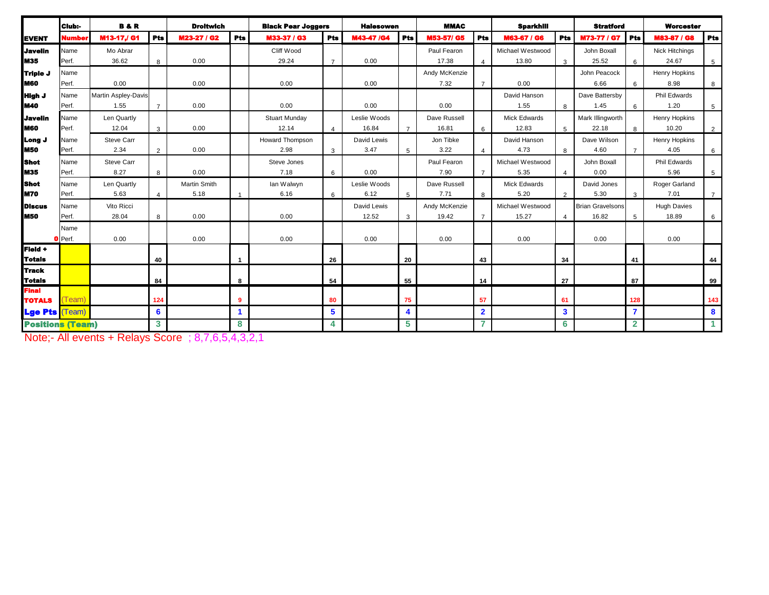|                                    | <b>Club:-</b> | <b>B&amp;R</b>      |                | <b>Droitwich</b>    |                      | <b>Black Pear Joggers</b> |                | <b>Halesowen</b> |                | <b>MMAC</b>   |                         | <b>Sparkhill</b> |                | <b>Stratford</b>        |                | <b>Worcester</b>      |                 |
|------------------------------------|---------------|---------------------|----------------|---------------------|----------------------|---------------------------|----------------|------------------|----------------|---------------|-------------------------|------------------|----------------|-------------------------|----------------|-----------------------|-----------------|
| <b>EVENT</b>                       | Numbe         | M13-17,/ G1         | <b>Pts</b>     | M23-27 / G2         | Pts                  | M33-37 / G3               | <b>Pts</b>     | M43-47 /G4       | Pts            | M53-57/ G5    | Pts                     | M63-67 / G6      | <b>Pts</b>     | M73-77 / G7             | <b>Pts</b>     | M83-87 / G8           | <b>Pts</b>      |
| <b>Javelin</b>                     | Name          | Mo Abrar            |                |                     |                      | Cliff Wood                |                |                  |                | Paul Fearon   |                         | Michael Westwood |                | John Boxall             |                | <b>Nick Hitchings</b> |                 |
| <b>M35</b>                         | Perf.         | 36.62               | 8              | 0.00                |                      | 29.24                     | $\overline{7}$ | 0.00             |                | 17.38         | $\overline{\mathbf{A}}$ | 13.80            | $\mathbf{3}$   | 25.52                   | 6              | 24.67                 | 5               |
| Triple J                           | Name          |                     |                |                     |                      |                           |                |                  |                | Andy McKenzie |                         |                  |                | John Peacock            |                | Henry Hopkins         |                 |
| <b>M60</b>                         | Perf.         | 0.00                |                | 0.00                |                      | 0.00                      |                | 0.00             |                | 7.32          | $\overline{7}$          | 0.00             |                | 6.66                    | 6              | 8.98                  | 8               |
| <b>High J</b>                      | Name          | Martin Aspley-Davis |                |                     |                      |                           |                |                  |                |               |                         | David Hanson     |                | Dave Battersby          |                | Phil Edwards          |                 |
| <b>M40</b>                         | Perf.         | 1.55                | $\overline{7}$ | 0.00                |                      | 0.00                      |                | 0.00             |                | 0.00          |                         | 1.55             | 8              | 1.45                    | 6              | 1.20                  | $5\overline{)}$ |
| <b>Javelin</b>                     | Name          | Len Quartly         |                |                     |                      | Stuart Munday             |                | Leslie Woods     |                | Dave Russell  |                         | Mick Edwards     |                | Mark Illingworth        |                | Henry Hopkins         |                 |
| <b>M60</b>                         | Perf.         | 12.04               | $\mathbf{3}$   | 0.00                |                      | 12.14                     | $\overline{4}$ | 16.84            | $\overline{7}$ | 16.81         | 6                       | 12.83            | $5^{\circ}$    | 22.18                   | 8              | 10.20                 | 2               |
| Long J                             | Name          | Steve Carr          |                |                     |                      | Howard Thompson           |                | David Lewis      |                | Jon Tibke     |                         | David Hanson     |                | Dave Wilson             |                | Henry Hopkins         |                 |
| <b>M50</b>                         | Perf.         | 2.34                | $\overline{2}$ | 0.00                |                      | 2.98                      | 3              | 3.47             | 5              | 3.22          |                         | 4.73             | 8              | 4.60                    | $\overline{7}$ | 4.05                  | 6               |
| <b>Shot</b>                        | Name          | <b>Steve Carr</b>   |                |                     |                      | Steve Jones               |                |                  |                | Paul Fearon   |                         | Michael Westwood |                | John Boxall             |                | Phil Edwards          |                 |
| <b>M35</b>                         | Perf.         | 8.27                | 8              | 0.00                |                      | 7.18                      | 6              | 0.00             |                | 7.90          | $\overline{7}$          | 5.35             | $\overline{4}$ | 0.00                    |                | 5.96                  | 5               |
| <b>Shot</b>                        | Name          | Len Quartly         |                | <b>Martin Smith</b> |                      | lan Walwyn                |                | Leslie Woods     |                | Dave Russell  |                         | Mick Edwards     |                | David Jones             |                | Roger Garland         |                 |
| <b>M70</b>                         | Perf.         | 5.63                | $\overline{4}$ | 5.18                | 1                    | 6.16                      | 6              | 6.12             | 5              | 7.71          | 8                       | 5.20             | $\overline{2}$ | 5.30                    | 3              | 7.01                  | $\overline{7}$  |
| <b>Discus</b>                      | Name          | Vito Ricci          |                |                     |                      |                           |                | David Lewis      |                | Andy McKenzie |                         | Michael Westwood |                | <b>Brian Gravelsons</b> |                | <b>Hugh Davies</b>    |                 |
| <b>M50</b>                         | Perf.         | 28.04               | 8              | 0.00                |                      | 0.00                      |                | 12.52            | 3              | 19.42         | $\overline{7}$          | 15.27            | $\overline{4}$ | 16.82                   | 5              | 18.89                 | 6               |
|                                    | Name          |                     |                |                     |                      |                           |                |                  |                |               |                         |                  |                |                         |                |                       |                 |
|                                    | O Perf.       | 0.00                |                | 0.00                |                      | 0.00                      |                | 0.00             |                | 0.00          |                         | 0.00             |                | 0.00                    |                | 0.00                  |                 |
| Field +                            |               |                     |                |                     |                      |                           |                |                  |                |               |                         |                  |                |                         |                |                       |                 |
| <b>Totals</b>                      |               |                     | 40             |                     | 1                    |                           | 26             |                  | 20             |               | 43                      |                  | 34             |                         | 41             |                       | 44              |
| <b>Track</b>                       |               |                     |                |                     |                      |                           |                |                  |                |               |                         |                  |                |                         |                |                       |                 |
| <b>Totals</b>                      |               |                     | 84             |                     | 8                    |                           | 54             |                  | 55             |               | 14                      |                  | 27             |                         | 87             |                       | 99              |
| <b>Final</b>                       |               |                     |                |                     |                      |                           |                |                  |                |               |                         |                  |                |                         |                |                       |                 |
| <b>TOTALS</b>                      | Team          |                     | 124            |                     | 9                    |                           | 80             |                  | 75             |               | 57                      |                  | 61             |                         | 128            |                       | 143             |
| <b>Lge Pts <mark>(Team</mark>)</b> |               |                     | 6              |                     | $\blacktriangleleft$ |                           | 5              |                  | 4              |               | $\overline{\mathbf{2}}$ |                  | 3              |                         | $\overline{7}$ |                       | 8               |
| <b>Positions (Team)</b>            |               |                     | 3              |                     | 8                    |                           | 4              |                  | 5              |               | 7                       |                  | 6              |                         | $\mathbf{2}$   |                       | $\mathbf{1}$    |

Note;- All events + Relays Score ; 8,7,6,5,4,3,2,1